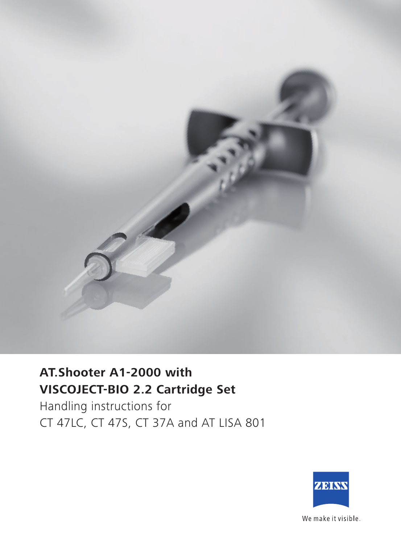

## **AT.Shooter A1-2000 with VISCOJECT-BIO 2.2 Cartridge Set**

Handling instructions for CT 47LC, CT 47S, CT 37A and AT LISA 801



We make it visible.